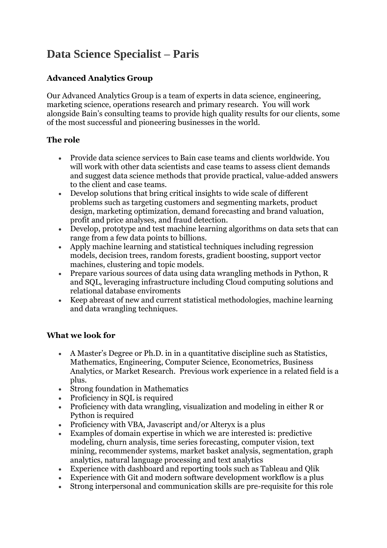## **Data Science Specialist – Paris**

## **Advanced Analytics Group**

Our Advanced Analytics Group is a team of experts in data science, engineering, marketing science, operations research and primary research. You will work alongside Bain's consulting teams to provide high quality results for our clients, some of the most successful and pioneering businesses in the world.

## **The role**

- Provide data science services to Bain case teams and clients worldwide. You will work with other data scientists and case teams to assess client demands and suggest data science methods that provide practical, value-added answers to the client and case teams.
- Develop solutions that bring critical insights to wide scale of different problems such as targeting customers and segmenting markets, product design, marketing optimization, demand forecasting and brand valuation, profit and price analyses, and fraud detection.
- Develop, prototype and test machine learning algorithms on data sets that can range from a few data points to billions.
- Apply machine learning and statistical techniques including regression models, decision trees, random forests, gradient boosting, support vector machines, clustering and topic models.
- Prepare various sources of data using data wrangling methods in Python, R and SQL, leveraging infrastructure including Cloud computing solutions and relational database enviroments
- Keep abreast of new and current statistical methodologies, machine learning and data wrangling techniques.

## **What we look for**

- A Master's Degree or Ph.D. in in a quantitative discipline such as Statistics, Mathematics, Engineering, Computer Science, Econometrics, Business Analytics, or Market Research. Previous work experience in a related field is a plus.
- Strong foundation in Mathematics
- Proficiency in SQL is required
- Proficiency with data wrangling, visualization and modeling in either R or Python is required
- Proficiency with VBA, Javascript and/or Alteryx is a plus
- Examples of domain expertise in which we are interested is: predictive modeling, churn analysis, time series forecasting, computer vision, text mining, recommender systems, market basket analysis, segmentation, graph analytics, natural language processing and text analytics
- Experience with dashboard and reporting tools such as Tableau and Qlik
- Experience with Git and modern software development workflow is a plus
- Strong interpersonal and communication skills are pre-requisite for this role